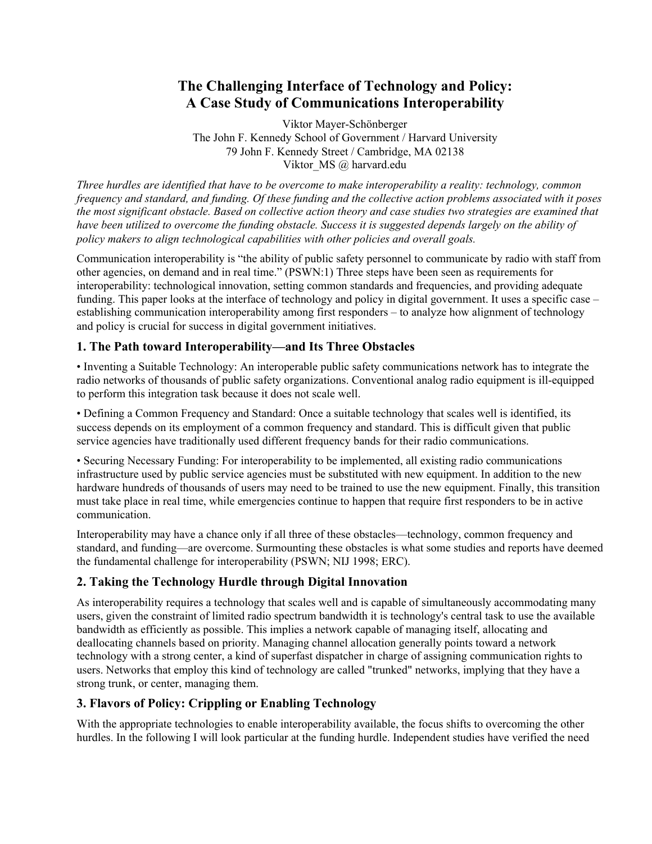# **The Challenging Interface of Technology and Policy: A Case Study of Communications Interoperability**

Viktor Mayer-Schönberger The John F. Kennedy School of Government / Harvard University 79 John F. Kennedy Street / Cambridge, MA 02138 Viktor MS @ harvard.edu

*Three hurdles are identified that have to be overcome to make interoperability a reality: technology, common frequency and standard, and funding. Of these funding and the collective action problems associated with it poses the most significant obstacle. Based on collective action theory and case studies two strategies are examined that have been utilized to overcome the funding obstacle. Success it is suggested depends largely on the ability of policy makers to align technological capabilities with other policies and overall goals.*

Communication interoperability is "the ability of public safety personnel to communicate by radio with staff from other agencies, on demand and in real time." (PSWN:1) Three steps have been seen as requirements for interoperability: technological innovation, setting common standards and frequencies, and providing adequate funding. This paper looks at the interface of technology and policy in digital government. It uses a specific case – establishing communication interoperability among first responders – to analyze how alignment of technology and policy is crucial for success in digital government initiatives.

### **1. The Path toward Interoperability—and Its Three Obstacles**

• Inventing a Suitable Technology: An interoperable public safety communications network has to integrate the radio networks of thousands of public safety organizations. Conventional analog radio equipment is ill-equipped to perform this integration task because it does not scale well.

• Defining a Common Frequency and Standard: Once a suitable technology that scales well is identified, its success depends on its employment of a common frequency and standard. This is difficult given that public service agencies have traditionally used different frequency bands for their radio communications.

• Securing Necessary Funding: For interoperability to be implemented, all existing radio communications infrastructure used by public service agencies must be substituted with new equipment. In addition to the new hardware hundreds of thousands of users may need to be trained to use the new equipment. Finally, this transition must take place in real time, while emergencies continue to happen that require first responders to be in active communication.

Interoperability may have a chance only if all three of these obstacles—technology, common frequency and standard, and funding—are overcome. Surmounting these obstacles is what some studies and reports have deemed the fundamental challenge for interoperability (PSWN; NIJ 1998; ERC).

# **2. Taking the Technology Hurdle through Digital Innovation**

As interoperability requires a technology that scales well and is capable of simultaneously accommodating many users, given the constraint of limited radio spectrum bandwidth it is technology's central task to use the available bandwidth as efficiently as possible. This implies a network capable of managing itself, allocating and deallocating channels based on priority. Managing channel allocation generally points toward a network technology with a strong center, a kind of superfast dispatcher in charge of assigning communication rights to users. Networks that employ this kind of technology are called "trunked" networks, implying that they have a strong trunk, or center, managing them.

# **3. Flavors of Policy: Crippling or Enabling Technology**

With the appropriate technologies to enable interoperability available, the focus shifts to overcoming the other hurdles. In the following I will look particular at the funding hurdle. Independent studies have verified the need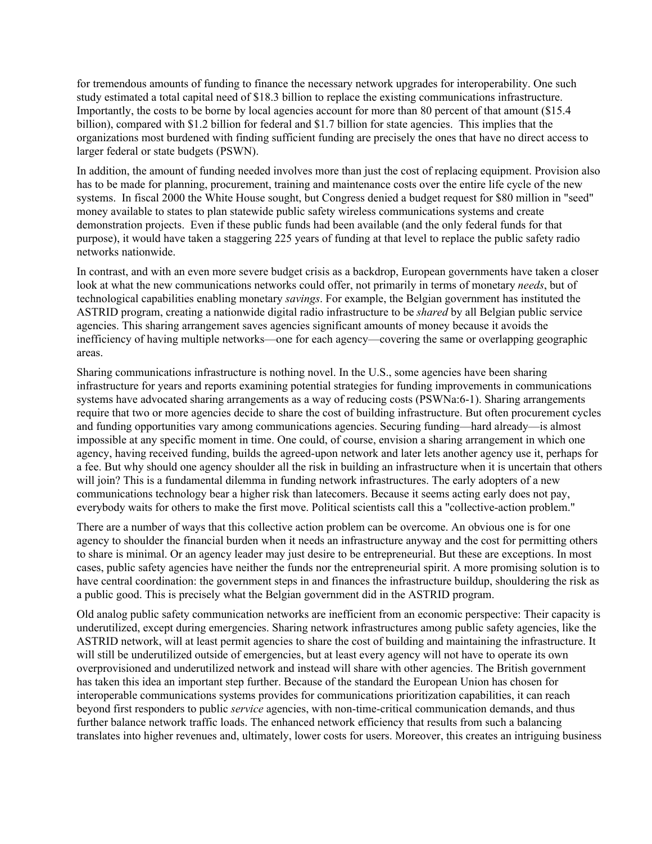for tremendous amounts of funding to finance the necessary network upgrades for interoperability. One such study estimated a total capital need of \$18.3 billion to replace the existing communications infrastructure. Importantly, the costs to be borne by local agencies account for more than 80 percent of that amount (\$15.4 billion), compared with \$1.2 billion for federal and \$1.7 billion for state agencies. This implies that the organizations most burdened with finding sufficient funding are precisely the ones that have no direct access to larger federal or state budgets (PSWN).

In addition, the amount of funding needed involves more than just the cost of replacing equipment. Provision also has to be made for planning, procurement, training and maintenance costs over the entire life cycle of the new systems. In fiscal 2000 the White House sought, but Congress denied a budget request for \$80 million in "seed" money available to states to plan statewide public safety wireless communications systems and create demonstration projects. Even if these public funds had been available (and the only federal funds for that purpose), it would have taken a staggering 225 years of funding at that level to replace the public safety radio networks nationwide.

In contrast, and with an even more severe budget crisis as a backdrop, European governments have taken a closer look at what the new communications networks could offer, not primarily in terms of monetary *needs*, but of technological capabilities enabling monetary *savings*. For example, the Belgian government has instituted the ASTRID program, creating a nationwide digital radio infrastructure to be *shared* by all Belgian public service agencies. This sharing arrangement saves agencies significant amounts of money because it avoids the inefficiency of having multiple networks—one for each agency—covering the same or overlapping geographic areas.

Sharing communications infrastructure is nothing novel. In the U.S., some agencies have been sharing infrastructure for years and reports examining potential strategies for funding improvements in communications systems have advocated sharing arrangements as a way of reducing costs (PSWNa:6-1). Sharing arrangements require that two or more agencies decide to share the cost of building infrastructure. But often procurement cycles and funding opportunities vary among communications agencies. Securing funding—hard already—is almost impossible at any specific moment in time. One could, of course, envision a sharing arrangement in which one agency, having received funding, builds the agreed-upon network and later lets another agency use it, perhaps for a fee. But why should one agency shoulder all the risk in building an infrastructure when it is uncertain that others will join? This is a fundamental dilemma in funding network infrastructures. The early adopters of a new communications technology bear a higher risk than latecomers. Because it seems acting early does not pay, everybody waits for others to make the first move. Political scientists call this a "collective-action problem."

There are a number of ways that this collective action problem can be overcome. An obvious one is for one agency to shoulder the financial burden when it needs an infrastructure anyway and the cost for permitting others to share is minimal. Or an agency leader may just desire to be entrepreneurial. But these are exceptions. In most cases, public safety agencies have neither the funds nor the entrepreneurial spirit. A more promising solution is to have central coordination: the government steps in and finances the infrastructure buildup, shouldering the risk as a public good. This is precisely what the Belgian government did in the ASTRID program.

Old analog public safety communication networks are inefficient from an economic perspective: Their capacity is underutilized, except during emergencies. Sharing network infrastructures among public safety agencies, like the ASTRID network, will at least permit agencies to share the cost of building and maintaining the infrastructure. It will still be underutilized outside of emergencies, but at least every agency will not have to operate its own overprovisioned and underutilized network and instead will share with other agencies. The British government has taken this idea an important step further. Because of the standard the European Union has chosen for interoperable communications systems provides for communications prioritization capabilities, it can reach beyond first responders to public *service* agencies, with non-time-critical communication demands, and thus further balance network traffic loads. The enhanced network efficiency that results from such a balancing translates into higher revenues and, ultimately, lower costs for users. Moreover, this creates an intriguing business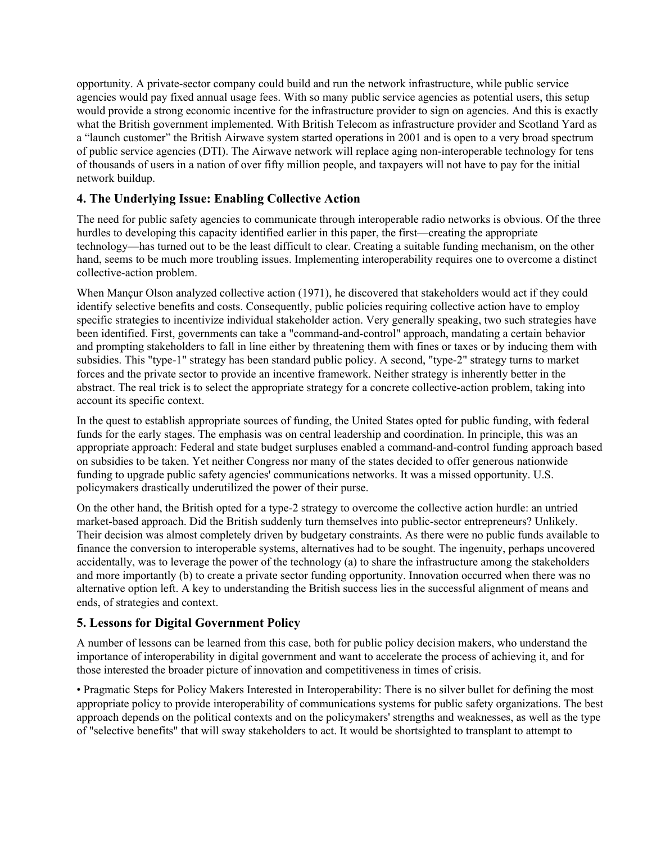opportunity. A private-sector company could build and run the network infrastructure, while public service agencies would pay fixed annual usage fees. With so many public service agencies as potential users, this setup would provide a strong economic incentive for the infrastructure provider to sign on agencies. And this is exactly what the British government implemented. With British Telecom as infrastructure provider and Scotland Yard as a "launch customer" the British Airwave system started operations in 2001 and is open to a very broad spectrum of public service agencies (DTI). The Airwave network will replace aging non-interoperable technology for tens of thousands of users in a nation of over fifty million people, and taxpayers will not have to pay for the initial network buildup.

### **4. The Underlying Issue: Enabling Collective Action**

The need for public safety agencies to communicate through interoperable radio networks is obvious. Of the three hurdles to developing this capacity identified earlier in this paper, the first—creating the appropriate technology—has turned out to be the least difficult to clear. Creating a suitable funding mechanism, on the other hand, seems to be much more troubling issues. Implementing interoperability requires one to overcome a distinct collective-action problem.

When Mançur Olson analyzed collective action (1971), he discovered that stakeholders would act if they could identify selective benefits and costs. Consequently, public policies requiring collective action have to employ specific strategies to incentivize individual stakeholder action. Very generally speaking, two such strategies have been identified. First, governments can take a "command-and-control" approach, mandating a certain behavior and prompting stakeholders to fall in line either by threatening them with fines or taxes or by inducing them with subsidies. This "type-1" strategy has been standard public policy. A second, "type-2" strategy turns to market forces and the private sector to provide an incentive framework. Neither strategy is inherently better in the abstract. The real trick is to select the appropriate strategy for a concrete collective-action problem, taking into account its specific context.

In the quest to establish appropriate sources of funding, the United States opted for public funding, with federal funds for the early stages. The emphasis was on central leadership and coordination. In principle, this was an appropriate approach: Federal and state budget surpluses enabled a command-and-control funding approach based on subsidies to be taken. Yet neither Congress nor many of the states decided to offer generous nationwide funding to upgrade public safety agencies' communications networks. It was a missed opportunity. U.S. policymakers drastically underutilized the power of their purse.

On the other hand, the British opted for a type-2 strategy to overcome the collective action hurdle: an untried market-based approach. Did the British suddenly turn themselves into public-sector entrepreneurs? Unlikely. Their decision was almost completely driven by budgetary constraints. As there were no public funds available to finance the conversion to interoperable systems, alternatives had to be sought. The ingenuity, perhaps uncovered accidentally, was to leverage the power of the technology (a) to share the infrastructure among the stakeholders and more importantly (b) to create a private sector funding opportunity. Innovation occurred when there was no alternative option left. A key to understanding the British success lies in the successful alignment of means and ends, of strategies and context.

# **5. Lessons for Digital Government Policy**

A number of lessons can be learned from this case, both for public policy decision makers, who understand the importance of interoperability in digital government and want to accelerate the process of achieving it, and for those interested the broader picture of innovation and competitiveness in times of crisis.

• Pragmatic Steps for Policy Makers Interested in Interoperability: There is no silver bullet for defining the most appropriate policy to provide interoperability of communications systems for public safety organizations. The best approach depends on the political contexts and on the policymakers' strengths and weaknesses, as well as the type of "selective benefits" that will sway stakeholders to act. It would be shortsighted to transplant to attempt to